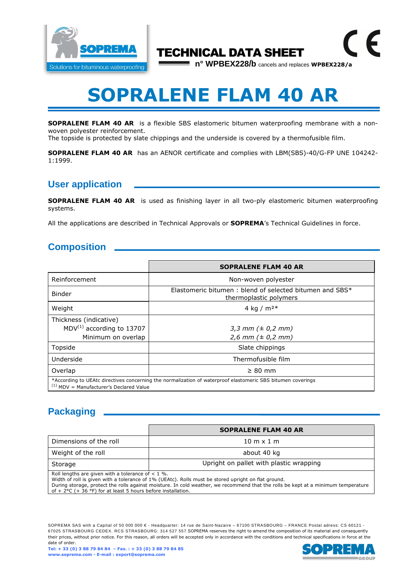

## TECHNICAL DATA SHEET

**n° WPBEX228/b** cancels and replaces **WPBEX228/a**

 $\epsilon$ 

# **SOPRALENE FLAM 40 AR**

**SOPRALENE FLAM 40 AR** is a flexible SBS elastomeric bitumen waterproofing membrane with a nonwoven polyester reinforcement.

The topside is protected by slate chippings and the underside is covered by a thermofusible film.

**SOPRALENE FLAM 40 AR** has an AENOR certificate and complies with LBM(SBS)-40/G-FP UNE 104242- 1:1999.

#### **User application**

**SOPRALENE FLAM 40 AR** is used as finishing layer in all two-ply elastomeric bitumen waterproofing systems.

All the applications are described in Technical Approvals or **SOPREMA**'s Technical Guidelines in force.

#### **Composition**

|                                                                                                                                                          | <b>SOPRALENE FLAM 40 AR</b>                                                       |  |
|----------------------------------------------------------------------------------------------------------------------------------------------------------|-----------------------------------------------------------------------------------|--|
| Reinforcement                                                                                                                                            | Non-woven polyester                                                               |  |
| <b>Binder</b>                                                                                                                                            | Elastomeric bitumen: blend of selected bitumen and SBS*<br>thermoplastic polymers |  |
| Weight                                                                                                                                                   | 4 kg / $m^{2*}$                                                                   |  |
| Thickness (indicative)<br>$MDV^{(1)}$ according to 13707<br>Minimum on overlap                                                                           | 3,3 mm $(\pm 0.2$ mm)<br>$2,6$ mm ( $\pm$ 0,2 mm)                                 |  |
| Topside                                                                                                                                                  | Slate chippings                                                                   |  |
| Underside                                                                                                                                                | Thermofusible film                                                                |  |
| Overlap                                                                                                                                                  | $\geq 80$ mm                                                                      |  |
| *According to UEAtc directives concerning the normalization of waterproof elastomeric SBS bitumen coverings<br>$(1)$ MDV = Manufacturer's Declared Value |                                                                                   |  |

### **Packaging**

|                                                                                                                                                                                                                                                                                                  | <b>SOPRALENE FLAM 40 AR</b>                                                                                                                                                                                                              |
|--------------------------------------------------------------------------------------------------------------------------------------------------------------------------------------------------------------------------------------------------------------------------------------------------|------------------------------------------------------------------------------------------------------------------------------------------------------------------------------------------------------------------------------------------|
| Dimensions of the roll                                                                                                                                                                                                                                                                           | $10 \text{ m} \times 1 \text{ m}$                                                                                                                                                                                                        |
| Weight of the roll                                                                                                                                                                                                                                                                               | about 40 kg                                                                                                                                                                                                                              |
| Storage                                                                                                                                                                                                                                                                                          | Upright on pallet with plastic wrapping                                                                                                                                                                                                  |
| Roll lengths are given with a tolerance of $< 1$ %.<br>$\epsilon$ . See $\epsilon$ . See Section 1. Fig. , the set of the section of the section of the section of the section of the section of the section of the section of the section of the section of the section of the section of the s | Width of roll is given with a tolerance of 1% (UEAtc). Rolls must be stored upright on flat ground.<br>During storage, protect the rolls against moisture. In cold weather, we recommend that the rolls be kept at a minimum temperature |

of + 2°C (+ 36 °F) for at least 5 hours before installation.

SOPREMA SAS with a Capital of 50 000 000 € - Headquarter: 14 rue de Saint-Nazaire – 67100 STRASBOURG – FRANCE Postal adress: CS 60121 -67025 STRASBOURG CEDEX. RCS STRASBOURG: 314 527 557.SOPREMA reserves the right to amend the composition of its material and consequently their prices, without prior notice. For this reason, all orders will be accepted only in accordance with the conditions and technical specifications in force at the date of order.

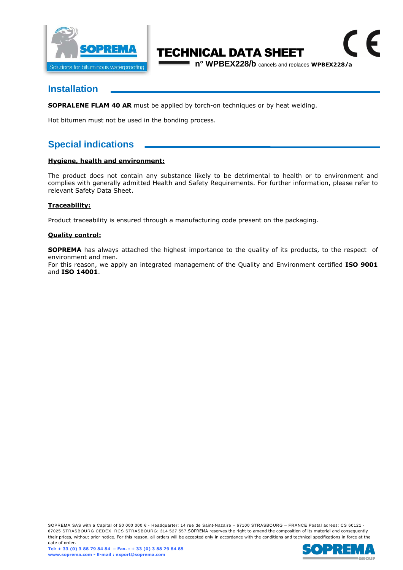

# TECHNICAL DATA SHEET

**n° WPBEX228/b** cancels and replaces **WPBEX228/a**

 $\epsilon$ 

#### **Installation**

**SOPRALENE FLAM 40 AR** must be applied by torch-on techniques or by heat welding.

Hot bitumen must not be used in the bonding process.

### **Special indications**

#### **Hygiene, health and environment:**

The product does not contain any substance likely to be detrimental to health or to environment and complies with generally admitted Health and Safety Requirements. For further information, please refer to relevant Safety Data Sheet.

#### **Traceability:**

Product traceability is ensured through a manufacturing code present on the packaging.

#### **Quality control:**

**SOPREMA** has always attached the highest importance to the quality of its products, to the respect of environment and men.

For this reason, we apply an integrated management of the Quality and Environment certified **ISO 9001**  and **ISO 14001**.